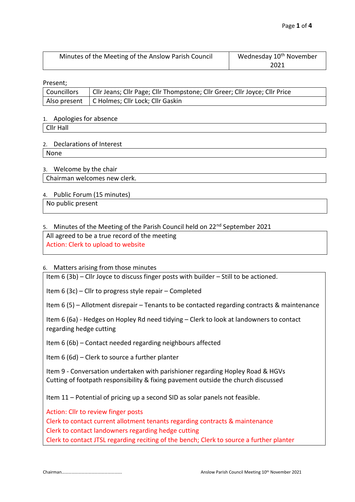| Minutes of the Meeting of the Anslow Parish Council | Wednesday 10 <sup>th</sup> November |
|-----------------------------------------------------|-------------------------------------|
|                                                     | 2021                                |

Present;

| . . <del>.</del>   |                                                                            |
|--------------------|----------------------------------------------------------------------------|
| <b>Councillors</b> | Cllr Jeans; Cllr Page; Cllr Thompstone; Cllr Greer; Cllr Joyce; Cllr Price |
|                    | Also present   C Holmes; Cllr Lock; Cllr Gaskin                            |

### 1. Apologies for absence

| наь<br>____<br>$\sim$ |  |  |  |  |  |  |
|-----------------------|--|--|--|--|--|--|
|                       |  |  |  |  |  |  |

### 2. Declarations of Interest

None

## 3. Welcome by the chair

Chairman welcomes new clerk.

# 4. Public Forum (15 minutes)

No public present

# 5. Minutes of the Meeting of the Parish Council held on 22<sup>nd</sup> September 2021

All agreed to be a true record of the meeting Action: Clerk to upload to website

## 6. Matters arising from those minutes

Item 6 (3b) – Cllr Joyce to discuss finger posts with builder – Still to be actioned.

Item 6 (3c) – Cllr to progress style repair – Completed

Item 6 (5) – Allotment disrepair – Tenants to be contacted regarding contracts & maintenance

Item 6 (6a) - Hedges on Hopley Rd need tidying – Clerk to look at landowners to contact regarding hedge cutting

Item 6 (6b) – Contact needed regarding neighbours affected

Item 6 (6d) – Clerk to source a further planter

Item 9 - Conversation undertaken with parishioner regarding Hopley Road & HGVs Cutting of footpath responsibility & fixing pavement outside the church discussed

Item 11 – Potential of pricing up a second SID as solar panels not feasible.

Action: Cllr to review finger posts

Clerk to contact current allotment tenants regarding contracts & maintenance

Clerk to contact landowners regarding hedge cutting

Clerk to contact JTSL regarding reciting of the bench; Clerk to source a further planter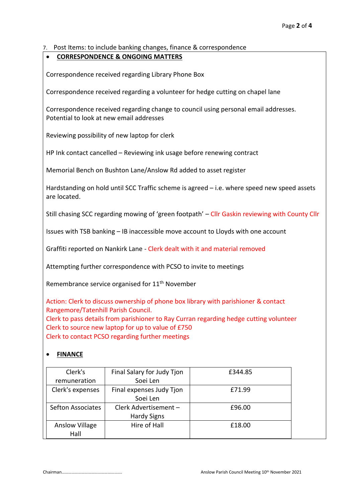# 7. Post Items: to include banking changes, finance & correspondence

# • **CORRESPONDENCE & ONGOING MATTERS**

Correspondence received regarding Library Phone Box

Correspondence received regarding a volunteer for hedge cutting on chapel lane

Correspondence received regarding change to council using personal email addresses. Potential to look at new email addresses

Reviewing possibility of new laptop for clerk

HP Ink contact cancelled – Reviewing ink usage before renewing contract

Memorial Bench on Bushton Lane/Anslow Rd added to asset register

Hardstanding on hold until SCC Traffic scheme is agreed - i.e. where speed new speed assets are located.

Still chasing SCC regarding mowing of 'green footpath' – Cllr Gaskin reviewing with County Cllr

Issues with TSB banking – IB inaccessible move account to Lloyds with one account

Graffiti reported on Nankirk Lane - Clerk dealt with it and material removed

Attempting further correspondence with PCSO to invite to meetings

Remembrance service organised for 11<sup>th</sup> November

Action: Clerk to discuss ownership of phone box library with parishioner & contact Rangemore/Tatenhill Parish Council. Clerk to pass details from parishioner to Ray Curran regarding hedge cutting volunteer

Clerk to source new laptop for up to value of £750

Clerk to contact PCSO regarding further meetings

# • **FINANCE**

| Clerk's                  | Final Salary for Judy Tjon | £344.85 |
|--------------------------|----------------------------|---------|
| remuneration             | Soei Len                   |         |
| Clerk's expenses         | Final expenses Judy Tjon   | £71.99  |
|                          | Soei Len                   |         |
| <b>Sefton Associates</b> | Clerk Advertisement -      | £96.00  |
|                          | <b>Hardy Signs</b>         |         |
| <b>Anslow Village</b>    | Hire of Hall               | £18.00  |
| Hall                     |                            |         |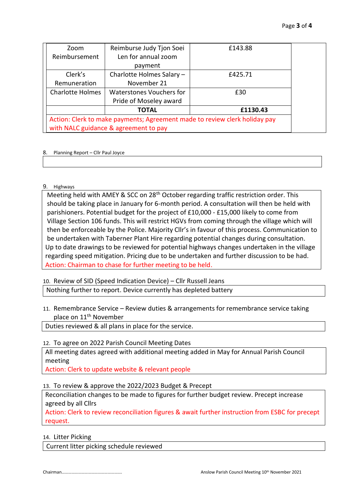| Zoom                    | Reimburse Judy Tjon Soei                                                   | £143.88  |
|-------------------------|----------------------------------------------------------------------------|----------|
| Reimbursement           | Len for annual zoom                                                        |          |
|                         | payment                                                                    |          |
| Clerk's                 | Charlotte Holmes Salary -                                                  | £425.71  |
| Remuneration            | November 21                                                                |          |
| <b>Charlotte Holmes</b> | Waterstones Vouchers for                                                   | £30      |
|                         | Pride of Moseley award                                                     |          |
|                         | <b>TOTAL</b>                                                               | £1130.43 |
|                         | Action: Clerk to make payments; Agreement made to review clerk holiday pay |          |
|                         | with NALC guidance & agreement to pay                                      |          |

### 8. Planning Report – Cllr Paul Joyce

### 9. Highways

Meeting held with AMEY & SCC on 28<sup>th</sup> October regarding traffic restriction order. This should be taking place in January for 6-month period. A consultation will then be held with parishioners. Potential budget for the project of £10,000 - £15,000 likely to come from Village Section 106 funds. This will restrict HGVs from coming through the village which will then be enforceable by the Police. Majority Cllr's in favour of this process. Communication to be undertaken with Taberner Plant Hire regarding potential changes during consultation. Up to date drawings to be reviewed for potential highways changes undertaken in the village regarding speed mitigation. Pricing due to be undertaken and further discussion to be had. Action: Chairman to chase for further meeting to be held.

10. Review of SID (Speed Indication Device) – Cllr Russell Jeans Nothing further to report. Device currently has depleted battery

11. Remembrance Service – Review duties & arrangements for remembrance service taking place on 11th November

Duties reviewed & all plans in place for the service.

### 12. To agree on 2022 Parish Council Meeting Dates

All meeting dates agreed with additional meeting added in May for Annual Parish Council meeting

Action: Clerk to update website & relevant people

### 13. To review & approve the 2022/2023 Budget & Precept

Reconciliation changes to be made to figures for further budget review. Precept increase agreed by all Cllrs

Action: Clerk to review reconciliation figures & await further instruction from ESBC for precept request.

### 14. Litter Picking

Current litter picking schedule reviewed